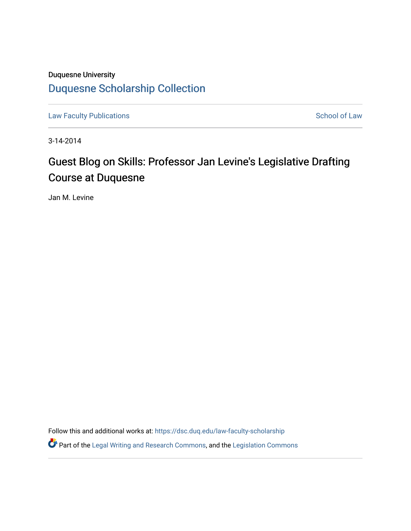## Duquesne University [Duquesne Scholarship Collection](https://dsc.duq.edu/)

[Law Faculty Publications](https://dsc.duq.edu/law-faculty-scholarship) **School of Law** School of Law

3-14-2014

# Guest Blog on Skills: Professor Jan Levine's Legislative Drafting Course at Duquesne

Jan M. Levine

Follow this and additional works at: [https://dsc.duq.edu/law-faculty-scholarship](https://dsc.duq.edu/law-faculty-scholarship?utm_source=dsc.duq.edu%2Flaw-faculty-scholarship%2F58&utm_medium=PDF&utm_campaign=PDFCoverPages)

Part of the [Legal Writing and Research Commons,](http://network.bepress.com/hgg/discipline/614?utm_source=dsc.duq.edu%2Flaw-faculty-scholarship%2F58&utm_medium=PDF&utm_campaign=PDFCoverPages) and the [Legislation Commons](http://network.bepress.com/hgg/discipline/859?utm_source=dsc.duq.edu%2Flaw-faculty-scholarship%2F58&utm_medium=PDF&utm_campaign=PDFCoverPages)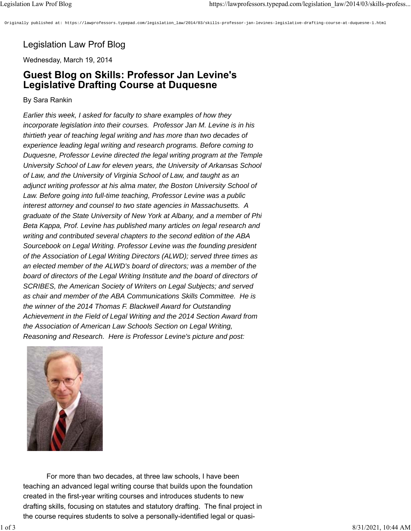Originally published at: https://lawprofessors.typepad.com/legislation\_law/2014/03/skills-professor-jan-levines-legislative-drafting-course-at-duquesne-1.html

### Legislation Law Prof Blog

Wednesday, March 19, 2014

### **Guest Blog on Skills: Professor Jan Levine's Legislative Drafting Course at Duquesne**

#### By Sara Rankin

*Earlier this week, I asked for faculty to share examples of how they incorporate legislation into their courses. Professor Jan M. Levine is in his thirtieth year of teaching legal writing and has more than two decades of experience leading legal writing and research programs. Before coming to Duquesne, Professor Levine directed the legal writing program at the Temple University School of Law for eleven years, the University of Arkansas School of Law, and the University of Virginia School of Law, and taught as an adjunct writing professor at his alma mater, the Boston University School of Law. Before going into full-time teaching, Professor Levine was a public interest attorney and counsel to two state agencies in Massachusetts. A graduate of the State University of New York at Albany, and a member of Phi Beta Kappa, Prof. Levine has published many articles on legal research and writing and contributed several chapters to the second edition of the ABA Sourcebook on Legal Writing. Professor Levine was the founding president of the Association of Legal Writing Directors (ALWD); served three times as an elected member of the ALWD's board of directors; was a member of the board of directors of the Legal Writing Institute and the board of directors of SCRIBES, the American Society of Writers on Legal Subjects; and served as chair and member of the ABA Communications Skills Committee. He is the winner of the 2014 Thomas F. Blackwell Award for Outstanding Achievement in the Field of Legal Writing and the 2014 Section Award from the Association of American Law Schools Section on Legal Writing, Reasoning and Research. Here is Professor Levine's picture and post:*



 For more than two decades, at three law schools, I have been teaching an advanced legal writing course that builds upon the foundation created in the first-year writing courses and introduces students to new drafting skills, focusing on statutes and statutory drafting. The final project in the course requires students to solve a personally-identified legal or quasi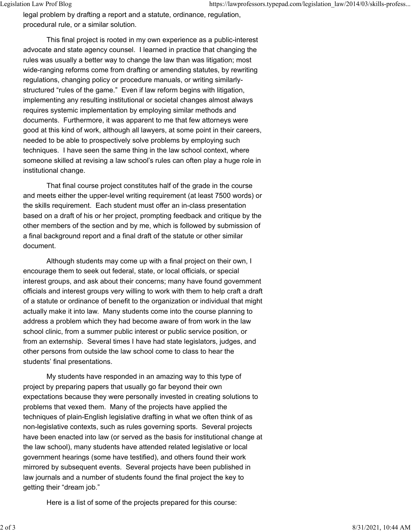legal problem by drafting a report and a statute, ordinance, regulation, procedural rule, or a similar solution.

 This final project is rooted in my own experience as a public-interest advocate and state agency counsel. I learned in practice that changing the rules was usually a better way to change the law than was litigation; most wide-ranging reforms come from drafting or amending statutes, by rewriting regulations, changing policy or procedure manuals, or writing similarlystructured "rules of the game." Even if law reform begins with litigation, implementing any resulting institutional or societal changes almost always requires systemic implementation by employing similar methods and documents. Furthermore, it was apparent to me that few attorneys were good at this kind of work, although all lawyers, at some point in their careers, needed to be able to prospectively solve problems by employing such techniques. I have seen the same thing in the law school context, where someone skilled at revising a law school's rules can often play a huge role in institutional change.

 That final course project constitutes half of the grade in the course and meets either the upper-level writing requirement (at least 7500 words) or the skills requirement. Each student must offer an in-class presentation based on a draft of his or her project, prompting feedback and critique by the other members of the section and by me, which is followed by submission of a final background report and a final draft of the statute or other similar document.

 Although students may come up with a final project on their own, I encourage them to seek out federal, state, or local officials, or special interest groups, and ask about their concerns; many have found government officials and interest groups very willing to work with them to help craft a draft of a statute or ordinance of benefit to the organization or individual that might actually make it into law. Many students come into the course planning to address a problem which they had become aware of from work in the law school clinic, from a summer public interest or public service position, or from an externship. Several times I have had state legislators, judges, and other persons from outside the law school come to class to hear the students' final presentations.

 My students have responded in an amazing way to this type of project by preparing papers that usually go far beyond their own expectations because they were personally invested in creating solutions to problems that vexed them. Many of the projects have applied the techniques of plain-English legislative drafting in what we often think of as non-legislative contexts, such as rules governing sports. Several projects have been enacted into law (or served as the basis for institutional change at the law school), many students have attended related legislative or local government hearings (some have testified), and others found their work mirrored by subsequent events. Several projects have been published in law journals and a number of students found the final project the key to getting their "dream job."

Here is a list of some of the projects prepared for this course: